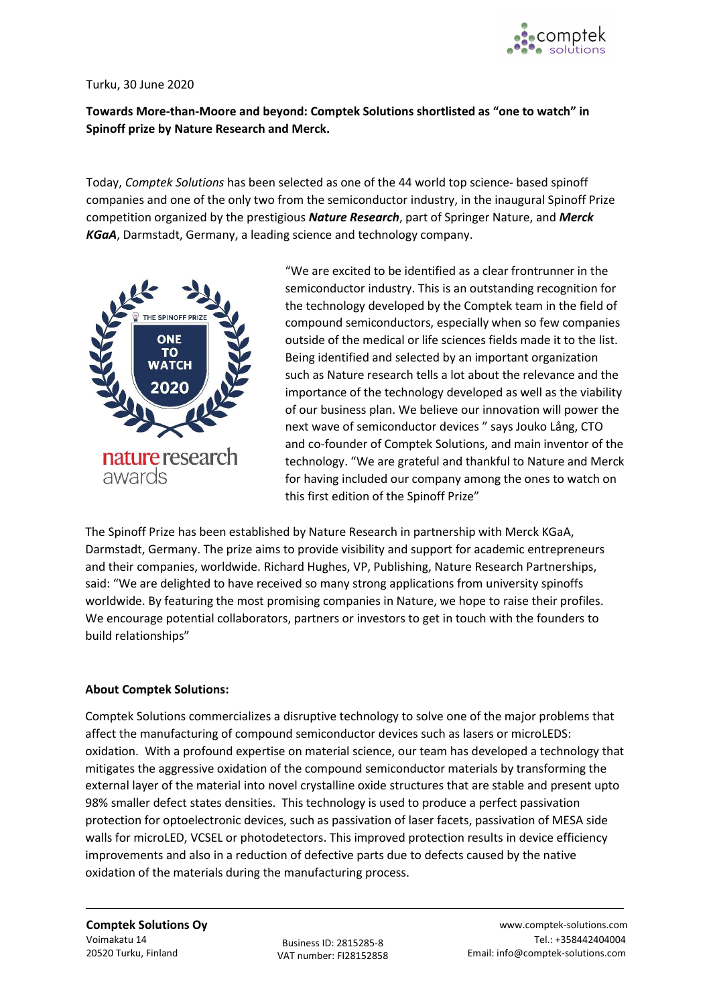

## Turku, 30 June 2020

## **Towards More-than-Moore and beyond: Comptek Solutions shortlisted as "one to watch" in Spinoff prize by Nature Research and Merck.**

Today, *Comptek Solutions* has been selected as one of the 44 world top science- based spinoff companies and one of the only two from the semiconductor industry, in the inaugural Spinoff Prize competition organized by the prestigious *Nature Research*, part of Springer Nature, and *Merck KGaA*, Darmstadt, Germany, a leading science and technology company.



"We are excited to be identified as a clear frontrunner in the semiconductor industry. This is an outstanding recognition for the technology developed by the Comptek team in the field of compound semiconductors, especially when so few companies outside of the medical or life sciences fields made it to the list. Being identified and selected by an important organization such as Nature research tells a lot about the relevance and the importance of the technology developed as well as the viability of our business plan. We believe our innovation will power the next wave of semiconductor devices " says Jouko Lång, CTO and co-founder of Comptek Solutions, and main inventor of the technology. "We are grateful and thankful to Nature and Merck for having included our company among the ones to watch on this first edition of the Spinoff Prize"

The Spinoff Prize has been established by Nature Research in partnership with Merck KGaA, Darmstadt, Germany. The prize aims to provide visibility and support for academic entrepreneurs and their companies, worldwide. Richard Hughes, VP, Publishing, Nature Research Partnerships, said: "We are delighted to have received so many strong applications from university spinoffs worldwide. By featuring the most promising companies in Nature, we hope to raise their profiles. We encourage potential collaborators, partners or investors to get in touch with the founders to build relationships"

## **About Comptek Solutions:**

Comptek Solutions commercializes a disruptive technology to solve one of the major problems that affect the manufacturing of compound semiconductor devices such as lasers or microLEDS: oxidation. With a profound expertise on material science, our team has developed a technology that mitigates the aggressive oxidation of the compound semiconductor materials by transforming the external layer of the material into novel crystalline oxide structures that are stable and present upto 98% smaller defect states densities. This technology is used to produce a perfect passivation protection for optoelectronic devices, such as passivation of laser facets, passivation of MESA side walls for microLED, VCSEL or photodetectors. This improved protection results in device efficiency improvements and also in a reduction of defective parts due to defects caused by the native oxidation of the materials during the manufacturing process.